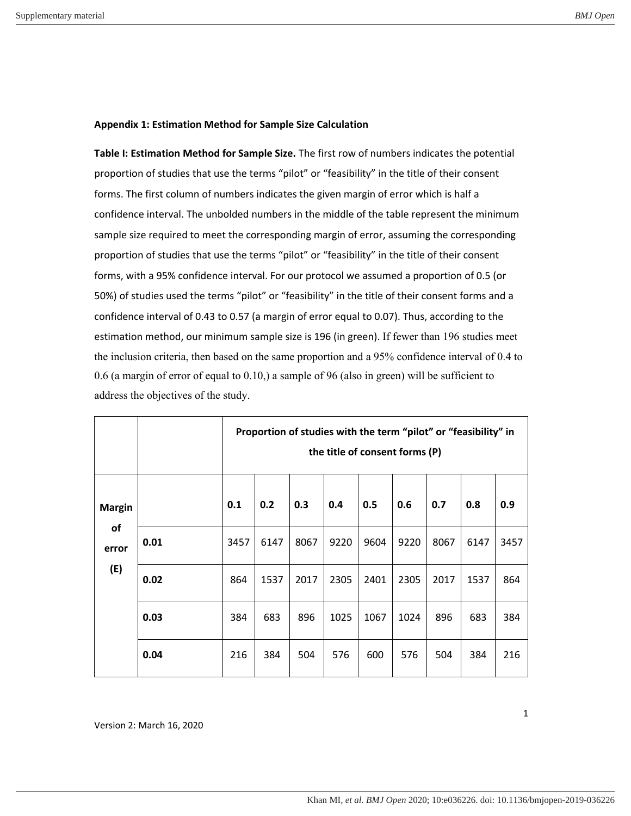## **Appendix 1: Estimation Method for Sample Size Calculation**

**Table I: Estimation Method for Sample Size.** The first row of numbers indicates the potential proportion of studies that use the terms "pilot" or "feasibility" in the title of their consent forms. The first column of numbers indicates the given margin of error which is half a confidence interval. The unbolded numbers in the middle of the table represent the minimum sample size required to meet the corresponding margin of error, assuming the corresponding proportion of studies that use the terms "pilot" or "feasibility" in the title of their consent forms, with a 95% confidence interval. For our protocol we assumed a proportion of 0.5 (or 50%) of studies used the terms "pilot" or "feasibility" in the title of their consent forms and a confidence interval of 0.43 to 0.57 (a margin of error equal to 0.07). Thus, according to the estimation method, our minimum sample size is 196 (in green). If fewer than 196 studies meet the inclusion criteria, then based on the same proportion and a 95% confidence interval of 0.4 to 0.6 (a margin of error of equal to 0.10,) a sample of 96 (also in green) will be sufficient to address the objectives of the study.

|                                     |      | Proportion of studies with the term "pilot" or "feasibility" in<br>the title of consent forms (P) |      |      |      |      |      |      |      |      |
|-------------------------------------|------|---------------------------------------------------------------------------------------------------|------|------|------|------|------|------|------|------|
| <b>Margin</b><br>of<br>error<br>(E) |      | 0.1                                                                                               | 0.2  | 0.3  | 0.4  | 0.5  | 0.6  | 0.7  | 0.8  | 0.9  |
|                                     | 0.01 | 3457                                                                                              | 6147 | 8067 | 9220 | 9604 | 9220 | 8067 | 6147 | 3457 |
|                                     | 0.02 | 864                                                                                               | 1537 | 2017 | 2305 | 2401 | 2305 | 2017 | 1537 | 864  |
|                                     | 0.03 | 384                                                                                               | 683  | 896  | 1025 | 1067 | 1024 | 896  | 683  | 384  |
|                                     | 0.04 | 216                                                                                               | 384  | 504  | 576  | 600  | 576  | 504  | 384  | 216  |

Version 2: March 16, 2020